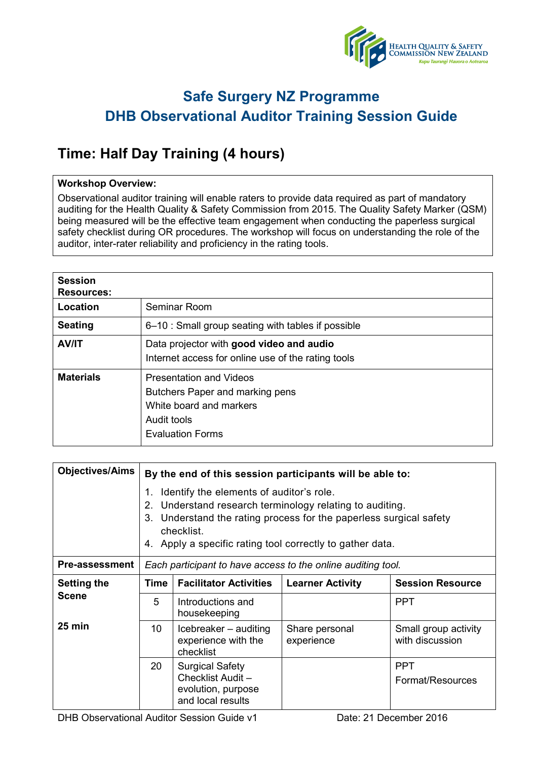

## **Safe Surgery NZ Programme DHB Observational Auditor Training Session Guide**

## **Time: Half Day Training (4 hours)**

### **Workshop Overview:**

Observational auditor training will enable raters to provide data required as part of mandatory auditing for the Health Quality & Safety Commission from 2015. The Quality Safety Marker (QSM) being measured will be the effective team engagement when conducting the paperless surgical safety checklist during OR procedures. The workshop will focus on understanding the role of the auditor, inter-rater reliability and proficiency in the rating tools.

| <b>Session</b><br><b>Resources:</b> |                                                                                                                                        |
|-------------------------------------|----------------------------------------------------------------------------------------------------------------------------------------|
| Location                            | Seminar Room                                                                                                                           |
| <b>Seating</b>                      | 6–10 : Small group seating with tables if possible                                                                                     |
| <b>AV/IT</b>                        | Data projector with good video and audio<br>Internet access for online use of the rating tools                                         |
| <b>Materials</b>                    | <b>Presentation and Videos</b><br>Butchers Paper and marking pens<br>White board and markers<br>Audit tools<br><b>Evaluation Forms</b> |

| <b>Objectives/Aims</b>                                 | By the end of this session participants will be able to:                                                                                                                                                                                                          |                                                                                        |                              |                                         |  |
|--------------------------------------------------------|-------------------------------------------------------------------------------------------------------------------------------------------------------------------------------------------------------------------------------------------------------------------|----------------------------------------------------------------------------------------|------------------------------|-----------------------------------------|--|
|                                                        | Identify the elements of auditor's role.<br>1.<br>Understand research terminology relating to auditing.<br>2.<br>Understand the rating process for the paperless surgical safety<br>3.<br>checklist.<br>4. Apply a specific rating tool correctly to gather data. |                                                                                        |                              |                                         |  |
| <b>Pre-assessment</b>                                  | Each participant to have access to the online auditing tool.                                                                                                                                                                                                      |                                                                                        |                              |                                         |  |
| <b>Setting the</b><br><b>Scene</b><br>$25 \text{ min}$ | Time                                                                                                                                                                                                                                                              | <b>Facilitator Activities</b>                                                          | <b>Learner Activity</b>      | <b>Session Resource</b>                 |  |
|                                                        | 5                                                                                                                                                                                                                                                                 | Introductions and<br>housekeeping                                                      |                              | <b>PPT</b>                              |  |
|                                                        | 10 <sup>°</sup>                                                                                                                                                                                                                                                   | Icebreaker - auditing<br>experience with the<br>checklist                              | Share personal<br>experience | Small group activity<br>with discussion |  |
|                                                        | 20                                                                                                                                                                                                                                                                | <b>Surgical Safety</b><br>Checklist Audit -<br>evolution, purpose<br>and local results |                              | <b>PPT</b><br>Format/Resources          |  |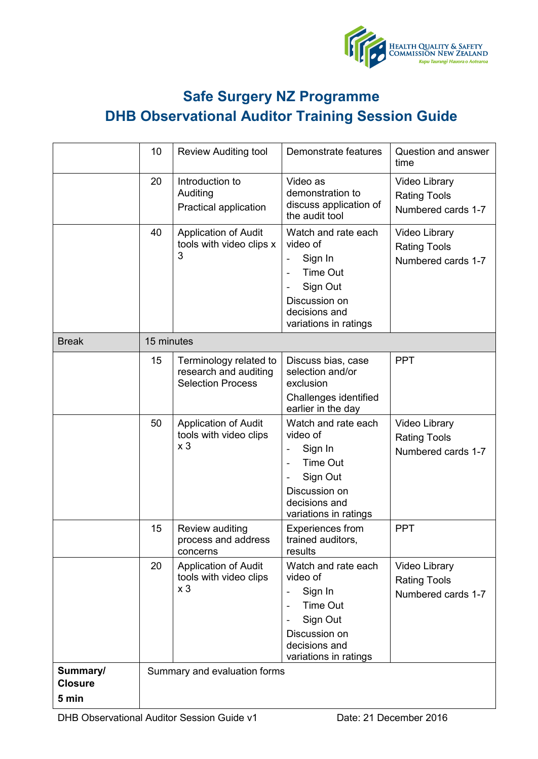

# **Safe Surgery NZ Programme DHB Observational Auditor Training Session Guide**

|                                     | 10         | <b>Review Auditing tool</b>                                                 | Demonstrate features                                                                                                                                                                                    | Question and answer<br>time                                       |
|-------------------------------------|------------|-----------------------------------------------------------------------------|---------------------------------------------------------------------------------------------------------------------------------------------------------------------------------------------------------|-------------------------------------------------------------------|
|                                     | 20         | Introduction to<br>Auditing<br>Practical application                        | Video as<br>demonstration to<br>discuss application of<br>the audit tool                                                                                                                                | Video Library<br><b>Rating Tools</b><br>Numbered cards 1-7        |
|                                     | 40         | <b>Application of Audit</b><br>tools with video clips x<br>3                | Watch and rate each<br>video of<br>Sign In<br>$\blacksquare$<br>Time Out<br>$\overline{\phantom{a}}$<br>Sign Out<br>$\overline{\phantom{a}}$<br>Discussion on<br>decisions and<br>variations in ratings | Video Library<br><b>Rating Tools</b><br>Numbered cards 1-7        |
| <b>Break</b>                        | 15 minutes |                                                                             |                                                                                                                                                                                                         |                                                                   |
|                                     | 15         | Terminology related to<br>research and auditing<br><b>Selection Process</b> | Discuss bias, case<br>selection and/or<br>exclusion<br>Challenges identified<br>earlier in the day                                                                                                      | <b>PPT</b>                                                        |
|                                     | 50         | <b>Application of Audit</b><br>tools with video clips<br>x <sub>3</sub>     | Watch and rate each<br>video of<br>Sign In<br>$\overline{\phantom{a}}$<br><b>Time Out</b><br>$\overline{\phantom{a}}$<br>Sign Out<br>Discussion on<br>decisions and<br>variations in ratings            | <b>Video Library</b><br><b>Rating Tools</b><br>Numbered cards 1-7 |
|                                     | 15         | Review auditing<br>process and address<br>concerns                          | <b>Experiences from</b><br>trained auditors,<br>results                                                                                                                                                 | <b>PPT</b>                                                        |
|                                     | 20         | <b>Application of Audit</b><br>tools with video clips<br>x <sub>3</sub>     | Watch and rate each<br>video of<br>Sign In<br>$\blacksquare$<br><b>Time Out</b><br>$\equiv$<br>Sign Out<br>Discussion on<br>decisions and<br>variations in ratings                                      | Video Library<br><b>Rating Tools</b><br>Numbered cards 1-7        |
| Summary/<br><b>Closure</b><br>5 min |            | Summary and evaluation forms                                                |                                                                                                                                                                                                         |                                                                   |